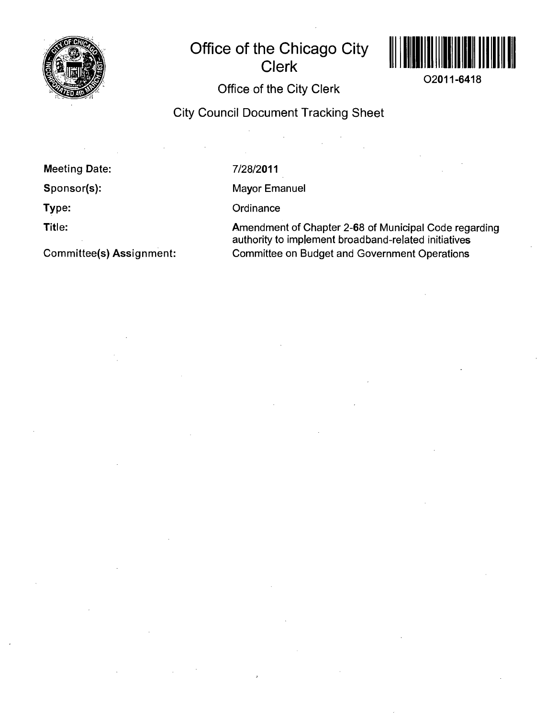

# **Office of the Chicago City Clerk**



**O2011-6418** 

## **Office of the City Clerk**

# **City Council Document Tracking Sheet**

**Meeting Date:** 

**Sponsor(s):** 

**Type:** 

**Title:** 

**Committee(s) Assignment:** 

7/28/2011

Mayor Emanuel

**Ordinance** 

Amendment of Chapter 2-68 of Municipal Code regarding authority to implement broadband-related initiatives Committee on Budget and Government Operations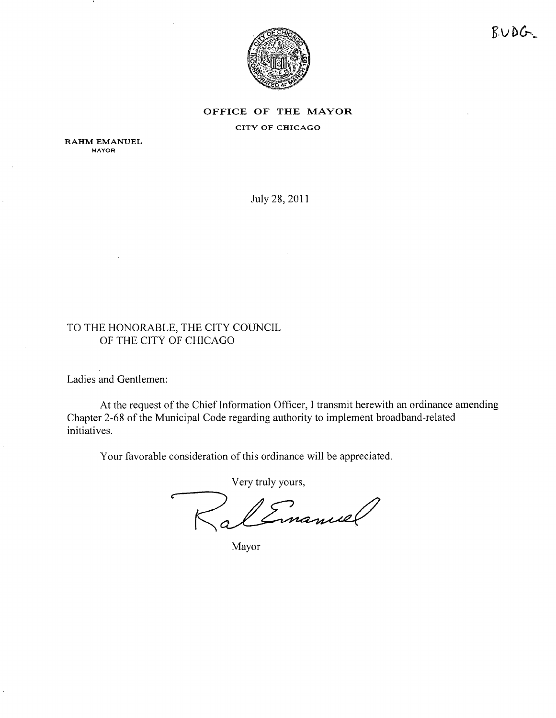

 $RUDG$ 

### **OFFICE OF THE MAYOR** CITY OF CHICAGO

RAHM EMANUEL **MAYOR** 

Juty28, 2011

### TO THE HONORABLE, THE CITY COUNCIL OF THE CITY OF CHICAGO

Ladies and Gentlemen:

At the request of the Chief Information Officer, I transmit herewith an ordinance amending Chapter 2-68 of the Municipal Code regarding authority to implement broadband-related initiatives.

Your favorable consideration of this ordinance will be appreciated.

Very truly yours.

Linancel

Mayor